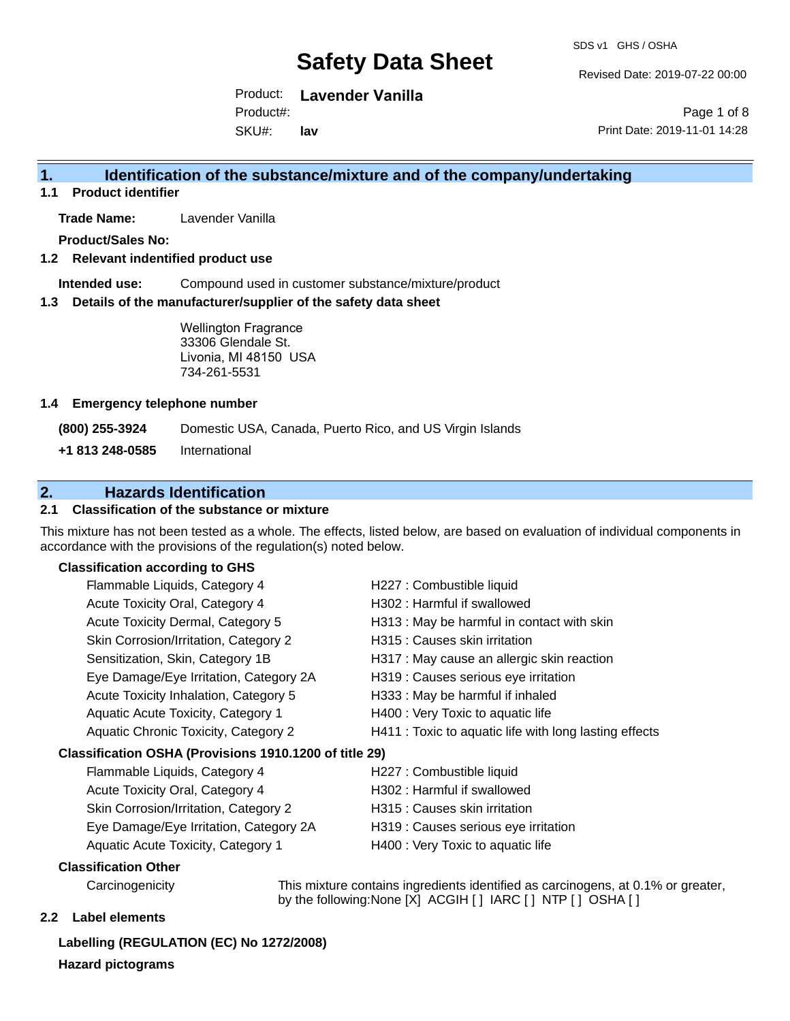Revised Date: 2019-07-22 00:00

Product: **Lavender Vanilla** Product#:

SKU#: **lav**

Page 1 of 8 Print Date: 2019-11-01 14:28

## **1. Identification of the substance/mixture and of the company/undertaking**

**1.1 Product identifier**

**Trade Name:** Lavender Vanilla

**Product/Sales No:**

#### **1.2 Relevant indentified product use**

**Intended use:** Compound used in customer substance/mixture/product

#### **1.3 Details of the manufacturer/supplier of the safety data sheet**

Wellington Fragrance 33306 Glendale St. Livonia, MI 48150 USA 734-261-5531

#### **1.4 Emergency telephone number**

**(800) 255-3924** Domestic USA, Canada, Puerto Rico, and US Virgin Islands

**+1 813 248-0585** International

## **2. Hazards Identification**

#### **2.1 Classification of the substance or mixture**

This mixture has not been tested as a whole. The effects, listed below, are based on evaluation of individual components in accordance with the provisions of the regulation(s) noted below.

#### **Classification according to GHS**

| Flammable Liquids, Category 4                          | H227 : Combustible liquid                              |
|--------------------------------------------------------|--------------------------------------------------------|
| Acute Toxicity Oral, Category 4                        | H302: Harmful if swallowed                             |
| Acute Toxicity Dermal, Category 5                      | H313 : May be harmful in contact with skin             |
| Skin Corrosion/Irritation, Category 2                  | H315 : Causes skin irritation                          |
| Sensitization, Skin, Category 1B                       | H317 : May cause an allergic skin reaction             |
| Eye Damage/Eye Irritation, Category 2A                 | H319 : Causes serious eye irritation                   |
| Acute Toxicity Inhalation, Category 5                  | H333: May be harmful if inhaled                        |
| Aquatic Acute Toxicity, Category 1                     | H400 : Very Toxic to aquatic life                      |
| Aquatic Chronic Toxicity, Category 2                   | H411 : Toxic to aquatic life with long lasting effects |
| Classification OSHA (Provisions 1910.1200 of title 29) |                                                        |
| Flammable Liquids, Category 4                          | H227 : Combustible liquid                              |
| Acute Toxicity Oral, Category 4                        | H302 : Harmful if swallowed                            |
| Skin Corrosion/Irritation, Category 2                  | H315 : Causes skin irritation                          |

Eye Damage/Eye Irritation, Category 2A H319 : Causes serious eye irritation Aquatic Acute Toxicity, Category 1 H400 : Very Toxic to aquatic life

#### **Classification Other**

Carcinogenicity This mixture contains ingredients identified as carcinogens, at 0.1% or greater, by the following:None [X] ACGIH [ ] IARC [ ] NTP [ ] OSHA [ ]

#### **2.2 Label elements**

**Labelling (REGULATION (EC) No 1272/2008) Hazard pictograms**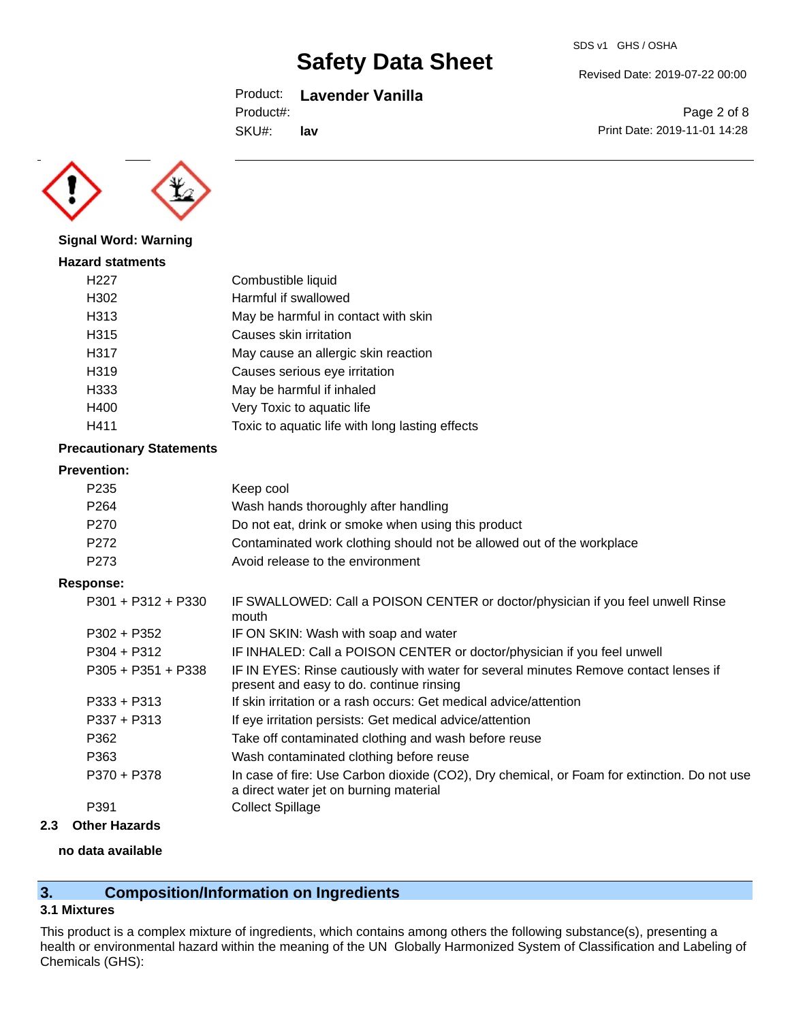### Product: **Lavender Vanilla**

Product#:

SKU#: **lav** Page 2 of 8

Revised Date: 2019-07-22 00:00

Print Date: 2019-11-01 14:28



**Signal Word: Warning**

| Combustible liquid                              |
|-------------------------------------------------|
| Harmful if swallowed                            |
| May be harmful in contact with skin             |
| Causes skin irritation                          |
| May cause an allergic skin reaction             |
| Causes serious eye irritation                   |
| May be harmful if inhaled                       |
| Very Toxic to aquatic life                      |
| Toxic to aquatic life with long lasting effects |
|                                                 |

### **Precautionary Statements**

#### **Prevention:**

| P235 | Keep cool                                                             |
|------|-----------------------------------------------------------------------|
| P264 | Wash hands thoroughly after handling                                  |
| P270 | Do not eat, drink or smoke when using this product                    |
| P272 | Contaminated work clothing should not be allowed out of the workplace |
| P273 | Avoid release to the environment                                      |

#### **Response:**

| $P301 + P312 + P330$ | IF SWALLOWED: Call a POISON CENTER or doctor/physician if you feel unwell Rinse<br>mouth                                              |
|----------------------|---------------------------------------------------------------------------------------------------------------------------------------|
| $P302 + P352$        | IF ON SKIN: Wash with soap and water                                                                                                  |
| $P304 + P312$        | IF INHALED: Call a POISON CENTER or doctor/physician if you feel unwell                                                               |
| $P305 + P351 + P338$ | IF IN EYES: Rinse cautiously with water for several minutes Remove contact lenses if<br>present and easy to do. continue rinsing      |
| $P333 + P313$        | If skin irritation or a rash occurs: Get medical advice/attention                                                                     |
| $P337 + P313$        | If eye irritation persists: Get medical advice/attention                                                                              |
| P362                 | Take off contaminated clothing and wash before reuse                                                                                  |
| P363                 | Wash contaminated clothing before reuse                                                                                               |
| P370 + P378          | In case of fire: Use Carbon dioxide (CO2), Dry chemical, or Foam for extinction. Do not use<br>a direct water jet on burning material |
| P391                 | <b>Collect Spillage</b>                                                                                                               |
|                      |                                                                                                                                       |

### **2.3 Other Hazards**

#### **no data available**

# **3. Composition/Information on Ingredients**

## **3.1 Mixtures**

This product is a complex mixture of ingredients, which contains among others the following substance(s), presenting a health or environmental hazard within the meaning of the UN Globally Harmonized System of Classification and Labeling of Chemicals (GHS):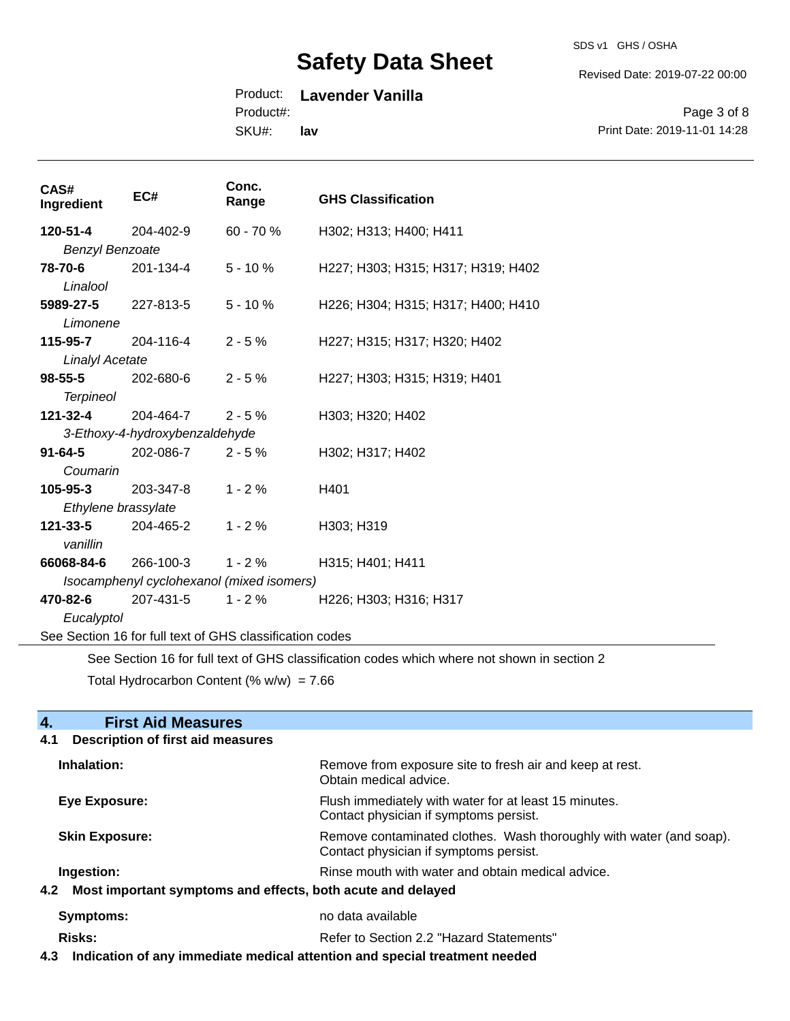#### SDS v1 GHS / OSHA

Revised Date: 2019-07-22 00:00

# Product: **Lavender Vanilla**

Product#:

SKU#: **lav**

Page 3 of 8 Print Date: 2019-11-01 14:28

| CAS#<br>Ingredient                                                                          | EC#                            | Conc.<br>Range | <b>GHS Classification</b>          |
|---------------------------------------------------------------------------------------------|--------------------------------|----------------|------------------------------------|
| 120-51-4                                                                                    | 204-402-9                      | 60 - 70 %      | H302; H313; H400; H411             |
| <b>Benzyl Benzoate</b>                                                                      |                                |                |                                    |
| 78-70-6                                                                                     | 201-134-4                      | $5 - 10%$      | H227; H303; H315; H317; H319; H402 |
| Linalool                                                                                    |                                |                |                                    |
| 5989-27-5                                                                                   | 227-813-5                      | $5 - 10%$      | H226; H304; H315; H317; H400; H410 |
| Limonene                                                                                    |                                |                |                                    |
| 115-95-7                                                                                    | 204-116-4                      | $2 - 5%$       | H227; H315; H317; H320; H402       |
| <b>Linalyl Acetate</b>                                                                      |                                |                |                                    |
| $98 - 55 - 5$                                                                               | 202-680-6                      | $2 - 5%$       | H227; H303; H315; H319; H401       |
| <b>Terpineol</b>                                                                            |                                |                |                                    |
| 121-32-4                                                                                    | 204-464-7                      | $2 - 5%$       | H303; H320; H402                   |
|                                                                                             | 3-Ethoxy-4-hydroxybenzaldehyde |                |                                    |
| $91 - 64 - 5$                                                                               | 202-086-7                      | $2 - 5%$       | H302; H317; H402                   |
| Coumarin                                                                                    |                                |                |                                    |
| 105-95-3                                                                                    | 203-347-8                      | $1 - 2%$       | H401                               |
| Ethylene brassylate                                                                         |                                |                |                                    |
| 121-33-5                                                                                    | 204-465-2                      | $1 - 2%$       | H303; H319                         |
| vanillin                                                                                    |                                |                |                                    |
| 66068-84-6                                                                                  | 266-100-3                      | $1 - 2%$       | H315; H401; H411                   |
| Isocamphenyl cyclohexanol (mixed isomers)                                                   |                                |                |                                    |
| 470-82-6                                                                                    | 207-431-5                      | $1 - 2%$       | H226; H303; H316; H317             |
| Eucalyptol                                                                                  |                                |                |                                    |
| See Section 16 for full text of GHS classification codes                                    |                                |                |                                    |
| See Section 16 for full text of GHS classification codes which where not shown in section 2 |                                |                |                                    |

Total Hydrocarbon Content (%  $w/w$ ) = 7.66

| <b>First Aid Measures</b><br>$\mathbf 4$                        |                                                                                                               |
|-----------------------------------------------------------------|---------------------------------------------------------------------------------------------------------------|
| Description of first aid measures<br>4.1                        |                                                                                                               |
| Inhalation:                                                     | Remove from exposure site to fresh air and keep at rest.<br>Obtain medical advice.                            |
| Eye Exposure:                                                   | Flush immediately with water for at least 15 minutes.<br>Contact physician if symptoms persist.               |
| <b>Skin Exposure:</b>                                           | Remove contaminated clothes. Wash thoroughly with water (and soap).<br>Contact physician if symptoms persist. |
| Ingestion:                                                      | Rinse mouth with water and obtain medical advice.                                                             |
| 4.2 Most important symptoms and effects, both acute and delayed |                                                                                                               |
| Symptoms:                                                       | no data available                                                                                             |
| Risks:                                                          | Refer to Section 2.2 "Hazard Statements"                                                                      |

**4.3 Indication of any immediate medical attention and special treatment needed**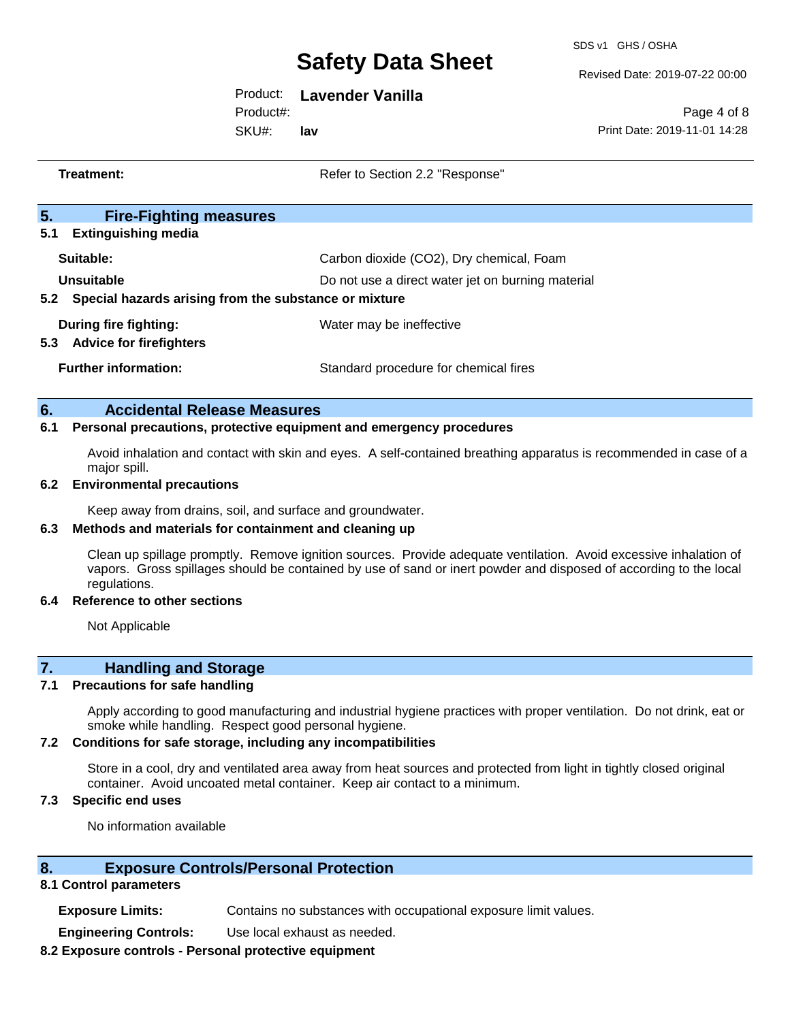SDS v1 GHS / OSHA

Revised Date: 2019-07-22 00:00

Product: **Lavender Vanilla**

Product#:

SKU#: **lav**

Page 4 of 8 Print Date: 2019-11-01 14:28

| Treatment:                                                                 | Refer to Section 2.2 "Response"                   |  |  |
|----------------------------------------------------------------------------|---------------------------------------------------|--|--|
| 5.<br><b>Fire-Fighting measures</b>                                        |                                                   |  |  |
| 5.1<br><b>Extinguishing media</b>                                          |                                                   |  |  |
| Suitable:                                                                  | Carbon dioxide (CO2), Dry chemical, Foam          |  |  |
| Unsuitable                                                                 | Do not use a direct water jet on burning material |  |  |
| 5.2 Special hazards arising from the substance or mixture                  |                                                   |  |  |
| During fire fighting:                                                      | Water may be ineffective                          |  |  |
| 5.3<br><b>Advice for firefighters</b>                                      |                                                   |  |  |
| <b>Further information:</b>                                                | Standard procedure for chemical fires             |  |  |
| 6.<br><b>Accidental Release Measures</b>                                   |                                                   |  |  |
| 6.1<br>Personal precautions, protective equipment and emergency procedures |                                                   |  |  |

Avoid inhalation and contact with skin and eyes. A self-contained breathing apparatus is recommended in case of a major spill.

#### **6.2 Environmental precautions**

Keep away from drains, soil, and surface and groundwater.

#### **6.3 Methods and materials for containment and cleaning up**

Clean up spillage promptly. Remove ignition sources. Provide adequate ventilation. Avoid excessive inhalation of vapors. Gross spillages should be contained by use of sand or inert powder and disposed of according to the local regulations.

#### **6.4 Reference to other sections**

Not Applicable

## **7. Handling and Storage**

#### **7.1 Precautions for safe handling**

Apply according to good manufacturing and industrial hygiene practices with proper ventilation. Do not drink, eat or smoke while handling. Respect good personal hygiene.

#### **7.2 Conditions for safe storage, including any incompatibilities**

Store in a cool, dry and ventilated area away from heat sources and protected from light in tightly closed original container. Avoid uncoated metal container. Keep air contact to a minimum.

### **7.3 Specific end uses**

No information available

### **8. Exposure Controls/Personal Protection**

#### **8.1 Control parameters**

**Exposure Limits:** Contains no substances with occupational exposure limit values.

**Engineering Controls:** Use local exhaust as needed.

#### **8.2 Exposure controls - Personal protective equipment**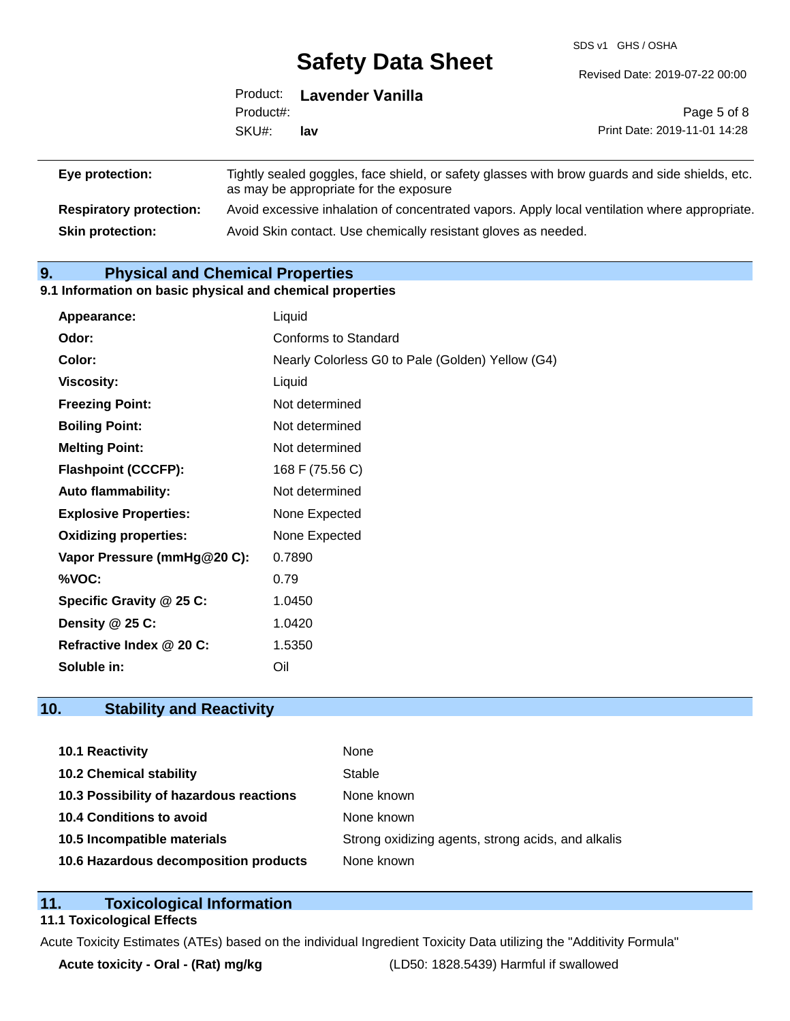SDS v1 GHS / OSHA

|                 |           | Product: Lavender Vanilla              |                                                                                                |  |
|-----------------|-----------|----------------------------------------|------------------------------------------------------------------------------------------------|--|
|                 | Product#: |                                        | Page 5 of 8                                                                                    |  |
|                 | SKU#:     | lav                                    | Print Date: 2019-11-01 14:28                                                                   |  |
| Eye protection: |           | as may be appropriate for the exposure | Tightly sealed goggles, face shield, or safety glasses with brow guards and side shields, etc. |  |

**Respiratory protection:** Avoid excessive inhalation of concentrated vapors. Apply local ventilation where appropriate. **Skin protection:** Avoid Skin contact. Use chemically resistant gloves as needed.

# **9. Physical and Chemical Properties**

#### **9.1 Information on basic physical and chemical properties**

| Appearance:                  | Liquid                                           |  |  |
|------------------------------|--------------------------------------------------|--|--|
| Odor:                        | Conforms to Standard                             |  |  |
| Color:                       | Nearly Colorless G0 to Pale (Golden) Yellow (G4) |  |  |
| <b>Viscosity:</b>            | Liquid                                           |  |  |
| <b>Freezing Point:</b>       | Not determined                                   |  |  |
| <b>Boiling Point:</b>        | Not determined                                   |  |  |
| <b>Melting Point:</b>        | Not determined                                   |  |  |
| <b>Flashpoint (CCCFP):</b>   | 168 F (75.56 C)                                  |  |  |
| <b>Auto flammability:</b>    | Not determined                                   |  |  |
| <b>Explosive Properties:</b> | None Expected                                    |  |  |
| <b>Oxidizing properties:</b> | None Expected                                    |  |  |
| Vapor Pressure (mmHg@20 C):  | 0.7890                                           |  |  |
| %VOC:                        | 0.79                                             |  |  |
| Specific Gravity @ 25 C:     | 1.0450                                           |  |  |
| Density @ 25 C:              | 1.0420                                           |  |  |
| Refractive Index @ 20 C:     | 1.5350                                           |  |  |
| Soluble in:                  | Oil                                              |  |  |

## **10. Stability and Reactivity**

| 10.1 Reactivity                         | None                                               |
|-----------------------------------------|----------------------------------------------------|
| <b>10.2 Chemical stability</b>          | Stable                                             |
| 10.3 Possibility of hazardous reactions | None known                                         |
| 10.4 Conditions to avoid                | None known                                         |
| 10.5 Incompatible materials             | Strong oxidizing agents, strong acids, and alkalis |
| 10.6 Hazardous decomposition products   | None known                                         |

### **11. Toxicological Information**

#### **11.1 Toxicological Effects**

Acute Toxicity Estimates (ATEs) based on the individual Ingredient Toxicity Data utilizing the "Additivity Formula"

**Acute toxicity - Oral - (Rat) mg/kg** (LD50: 1828.5439) Harmful if swallowed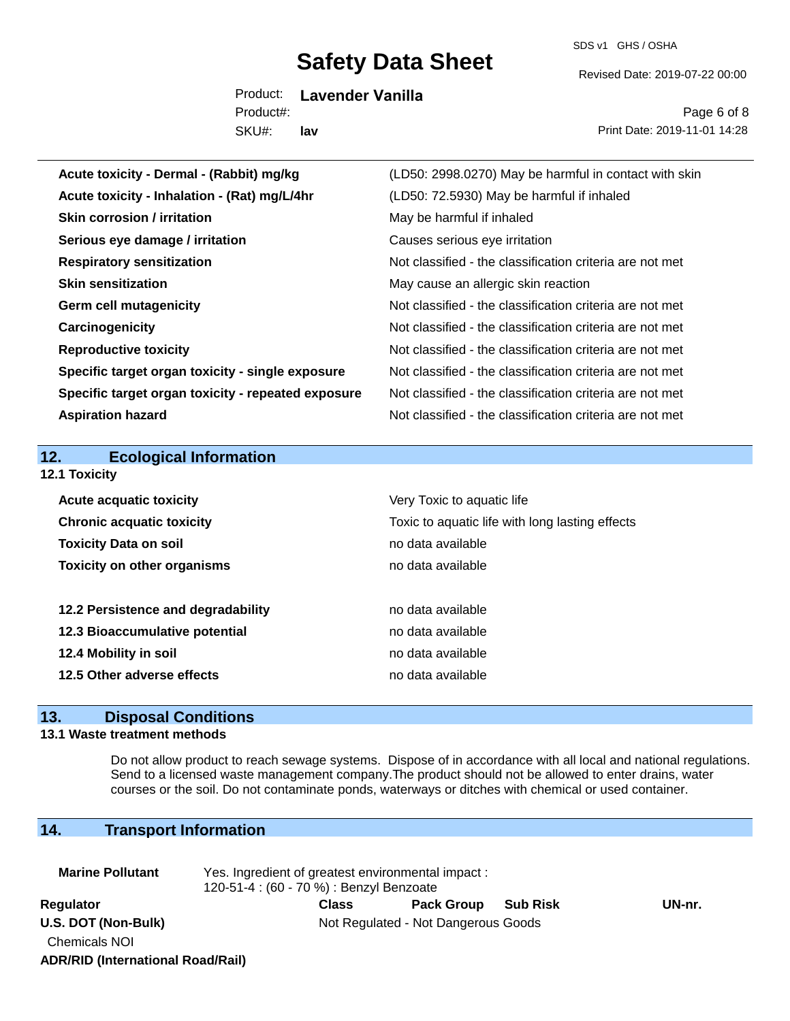SDS v1 GHS / OSHA

Revised Date: 2019-07-22 00:00

Product: **Lavender Vanilla** SKU#: Product#: **lav**

Page 6 of 8 Print Date: 2019-11-01 14:28

| Acute toxicity - Dermal - (Rabbit) mg/kg           | (LD50: 2998.0270) May be harmful in contact with skin    |  |  |
|----------------------------------------------------|----------------------------------------------------------|--|--|
| Acute toxicity - Inhalation - (Rat) mg/L/4hr       | (LD50: 72.5930) May be harmful if inhaled                |  |  |
| <b>Skin corrosion / irritation</b>                 | May be harmful if inhaled                                |  |  |
| Serious eye damage / irritation                    | Causes serious eye irritation                            |  |  |
| <b>Respiratory sensitization</b>                   | Not classified - the classification criteria are not met |  |  |
| <b>Skin sensitization</b>                          | May cause an allergic skin reaction                      |  |  |
| <b>Germ cell mutagenicity</b>                      | Not classified - the classification criteria are not met |  |  |
| Carcinogenicity                                    | Not classified - the classification criteria are not met |  |  |
| <b>Reproductive toxicity</b>                       | Not classified - the classification criteria are not met |  |  |
| Specific target organ toxicity - single exposure   | Not classified - the classification criteria are not met |  |  |
| Specific target organ toxicity - repeated exposure | Not classified - the classification criteria are not met |  |  |
| <b>Aspiration hazard</b>                           | Not classified - the classification criteria are not met |  |  |
|                                                    |                                                          |  |  |
| <b>Ecological Information</b><br>12.               |                                                          |  |  |
| 12.1 Toxicity                                      |                                                          |  |  |
| <b>Acute acquatic toxicity</b>                     | Very Toxic to aquatic life                               |  |  |
| <b>Chronic acquatic toxicity</b>                   | Toxic to aquatic life with long lasting effects          |  |  |
| <b>Toxicity Data on soil</b>                       | no data available                                        |  |  |
| <b>Toxicity on other organisms</b>                 |                                                          |  |  |
|                                                    | no data available                                        |  |  |
|                                                    |                                                          |  |  |
| 12.2 Persistence and degradability                 | no data available                                        |  |  |
| 12.3 Bioaccumulative potential                     | no data available                                        |  |  |
| 12.4 Mobility in soil                              | no data available                                        |  |  |
| 12.5 Other adverse effects                         | no data available                                        |  |  |

# **13. Disposal Conditions**

### **13.1 Waste treatment methods**

Do not allow product to reach sewage systems. Dispose of in accordance with all local and national regulations. Send to a licensed waste management company.The product should not be allowed to enter drains, water courses or the soil. Do not contaminate ponds, waterways or ditches with chemical or used container.

# **14. Transport Information**

| <b>Marine Pollutant</b>                  | Yes. Ingredient of greatest environmental impact:<br>120-51-4 : (60 - 70 %) : Benzyl Benzoate |                   |                 |        |  |
|------------------------------------------|-----------------------------------------------------------------------------------------------|-------------------|-----------------|--------|--|
| Regulator                                | <b>Class</b>                                                                                  | <b>Pack Group</b> | <b>Sub Risk</b> | UN-nr. |  |
| U.S. DOT (Non-Bulk)                      | Not Regulated - Not Dangerous Goods                                                           |                   |                 |        |  |
| <b>Chemicals NOI</b>                     |                                                                                               |                   |                 |        |  |
| <b>ADR/RID (International Road/Rail)</b> |                                                                                               |                   |                 |        |  |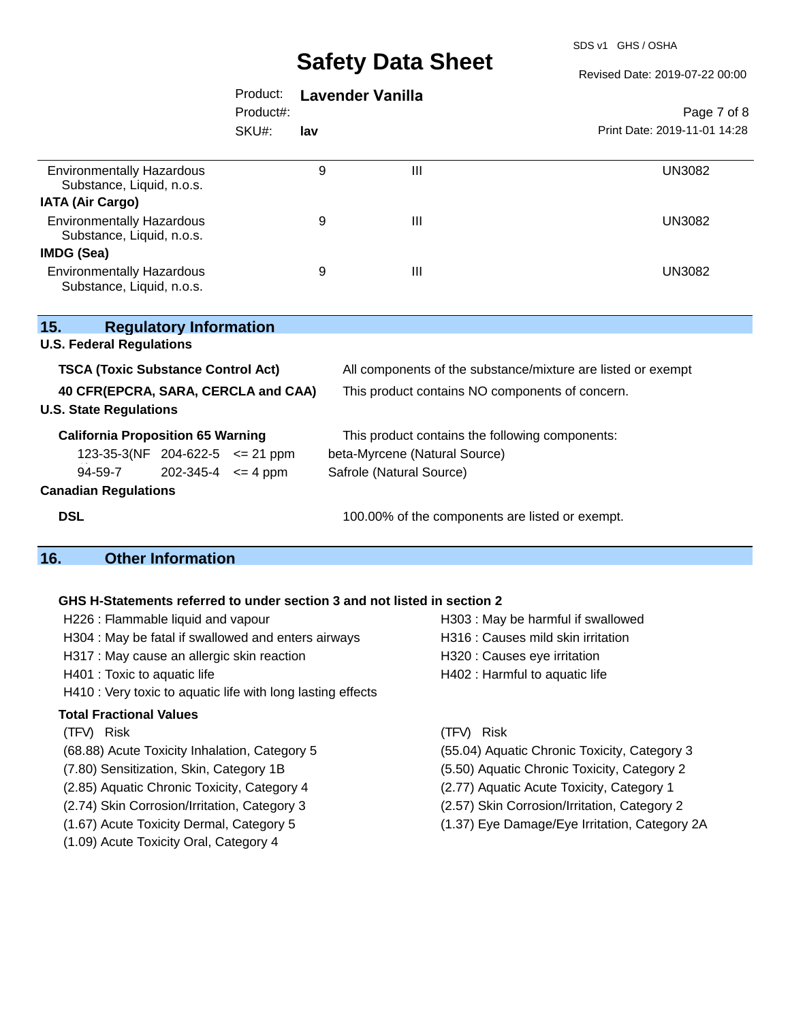SDS v1 GHS / OSHA

Revised Date: 2019-07-22 00:00

|                                                               | Product:     | <b>Lavender Vanilla</b>                                      |   |                              |
|---------------------------------------------------------------|--------------|--------------------------------------------------------------|---|------------------------------|
|                                                               | Product#:    |                                                              |   | Page 7 of 8                  |
|                                                               | SKU#:<br>lav |                                                              |   | Print Date: 2019-11-01 14:28 |
| <b>Environmentally Hazardous</b><br>Substance, Liquid, n.o.s. |              | 9                                                            | Ш | <b>UN3082</b>                |
| <b>IATA (Air Cargo)</b>                                       |              |                                                              |   |                              |
| <b>Environmentally Hazardous</b><br>Substance, Liquid, n.o.s. |              | 9                                                            | Ш | <b>UN3082</b>                |
| IMDG (Sea)                                                    |              |                                                              |   |                              |
| <b>Environmentally Hazardous</b><br>Substance, Liquid, n.o.s. |              | 9                                                            | Ш | <b>UN3082</b>                |
| 15.<br><b>Regulatory Information</b>                          |              |                                                              |   |                              |
| <b>U.S. Federal Regulations</b>                               |              |                                                              |   |                              |
| <b>TSCA (Toxic Substance Control Act)</b>                     |              | All components of the substance/mixture are listed or exempt |   |                              |

**40 CFR(EPCRA, SARA, CERCLA and CAA)** This product contains NO components of concern.

#### **U.S. State Regulations**

| <b>California Proposition 65 Warning</b> |                                        |                            | This product contains the following components: |  |  |
|------------------------------------------|----------------------------------------|----------------------------|-------------------------------------------------|--|--|
|                                          | $123-35-3(NF)$ 204-622-5 $\leq$ 21 ppm |                            | beta-Myrcene (Natural Source)                   |  |  |
|                                          | 94-59-7                                | $202 - 345 - 4 \leq 4$ ppm | Safrole (Natural Source)                        |  |  |
|                                          |                                        |                            |                                                 |  |  |

(Natural Source)

### **Canadian Regulations**

**DSL DSL 100.00%** of the components are listed or exempt.

### **16. Other Information**

#### **GHS H-Statements referred to under section 3 and not listed in section 2**

| H226 : Flammable liquid and vapour                  | H303 : May be harmful if swallow   |
|-----------------------------------------------------|------------------------------------|
| H304 : May be fatal if swallowed and enters airways | H316 : Causes mild skin irritation |
| H317 : May cause an allergic skin reaction          | H320 : Causes eye irritation       |
| H401 : Toxic to aquatic life                        | H402 : Harmful to aquatic life     |

H410 : Very toxic to aquatic life with long lasting effects

#### **Total Fractional Values**

#### (TFV) Risk (TFV) Risk

- 
- (2.85) Aquatic Chronic Toxicity, Category 4 (2.77) Aquatic Acute Toxicity, Category 1
- (2.74) Skin Corrosion/Irritation, Category 3 (2.57) Skin Corrosion/Irritation, Category 2
- 
- (1.09) Acute Toxicity Oral, Category 4

H320 : Causes eye irritation H402 : Harmful to aquatic life

H303 : May be harmful if swallowed

- 
- (68.88) Acute Toxicity Inhalation, Category 5 (55.04) Aquatic Chronic Toxicity, Category 3
- (7.80) Sensitization, Skin, Category 1B (5.50) Aquatic Chronic Toxicity, Category 2
	-
	-
- (1.67) Acute Toxicity Dermal, Category 5 (1.37) Eye Damage/Eye Irritation, Category 2A